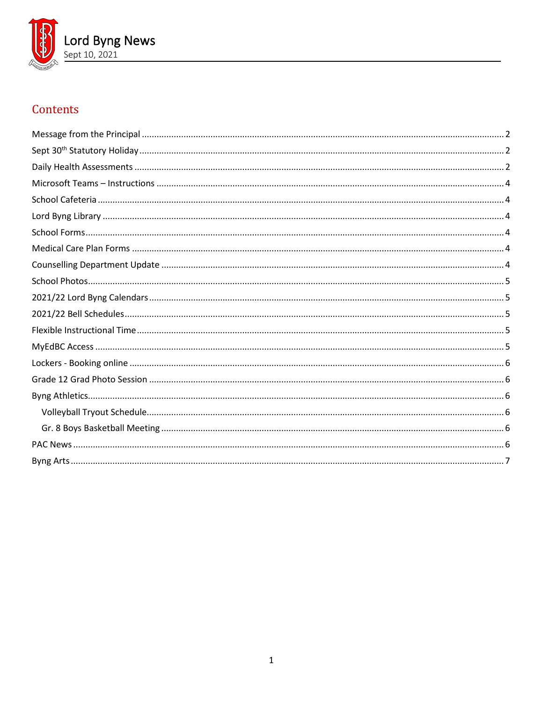

# Contents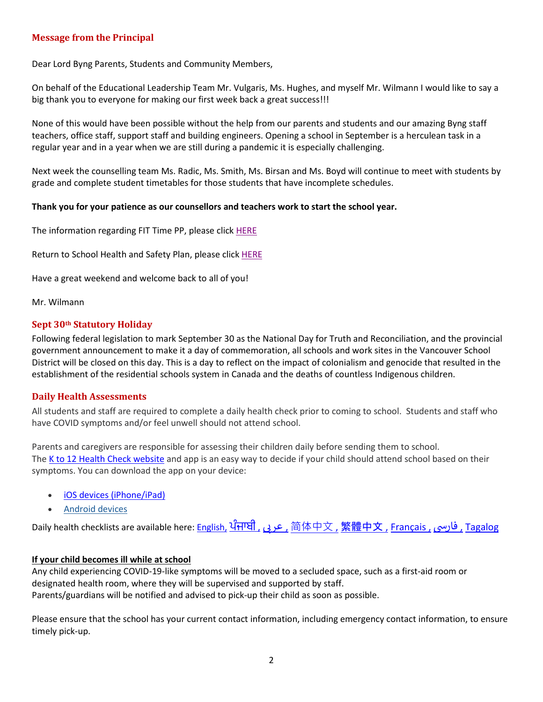## <span id="page-1-0"></span>**Message from the Principal**

Dear Lord Byng Parents, Students and Community Members,

On behalf of the Educational Leadership Team Mr. Vulgaris, Ms. Hughes, and myself Mr. Wilmann I would like to say a big thank you to everyone for making our first week back a great success!!!

None of this would have been possible without the help from our parents and students and our amazing Byng staff teachers, office staff, support staff and building engineers. Opening a school in September is a herculean task in a regular year and in a year when we are still during a pandemic it is especially challenging.

Next week the counselling team Ms. Radic, Ms. Smith, Ms. Birsan and Ms. Boyd will continue to meet with students by grade and complete student timetables for those students that have incomplete schedules.

#### **Thank you for your patience as our counsellors and teachers work to start the school year.**

The information regarding FIT Time PP, please click [HERE](https://www.vsb.bc.ca/schools/lord-byng/About-Us/Publications/Documents/Lord%20Byng%20Assembly%20-%20Flexible%20Instructional%20Time%20-%20Sept%209%202021.pdf)

Return to School Health and Safety Plan, please clic[k HERE](https://www.vsb.bc.ca/schools/lord-byng/About-Us/Publications/Documents/Secondary%20STUDENT%20Training%20COVID%20September.pdf)

Have a great weekend and welcome back to all of you!

<span id="page-1-1"></span>Mr. Wilmann

#### **Sept 30th Statutory Holiday**

Following federal legislation to mark September 30 as the National Day for Truth and Reconciliation, and the provincial government announcement to make it a day of commemoration, all schools and work sites in the Vancouver School District will be closed on this day. This is a day to reflect on the impact of colonialism and genocide that resulted in the establishment of the residential schools system in Canada and the deaths of countless Indigenous children.

#### <span id="page-1-2"></span>**Daily Health Assessments**

All students and staff are required to complete a daily health check prior to coming to school. Students and staff who have COVID symptoms and/or feel unwell should not attend school.

Parents and caregivers are responsible for assessing their children daily before sending them to school. The [K to 12 Health Check website](https://www.k12dailycheck.gov.bc.ca/) and app is an easy way to decide if your child should attend school based on their symptoms. You can download the app on your device:

- [iOS devices \(iPhone/iPad\)](https://apps.apple.com/us/app/bc-k-12-daily-health-checker/id1547334827)
- [Android devices](https://play.google.com/store/apps/details?id=com.qp.k12App)

Daily health checklists are available here: [English,](https://www2.gov.bc.ca/assets/gov/education/kindergarten-to-grade-12/covid/daily-health-check-english.pdf) [ਪੰਜਾਬੀ](https://www2.gov.bc.ca/assets/gov/education/kindergarten-to-grade-12/covid/daily-health-check-punjabi.pdf) [,](https://www2.gov.bc.ca/assets/gov/education/kindergarten-to-grade-12/covid/daily-health-check-farsi.pdf) عرى , [简体中文](https://www2.gov.bc.ca/assets/gov/education/kindergarten-to-grade-12/covid/daily-health-check-chinese-simplified.pdf) , [繁體中文](https://www2.gov.bc.ca/assets/gov/education/kindergarten-to-grade-12/covid/daily-health-check-chinese-traditional.pdf) , [Français ,](https://www2.gov.bc.ca/assets/gov/education/kindergarten-to-grade-12/covid/daily-health-check-french.pdf) فارسی , [Tagalog](https://www2.gov.bc.ca/assets/gov/education/kindergarten-to-grade-12/covid/daily-health-check-tagalog.pdf)

#### **If your child becomes ill while at school**

Any child experiencing COVID-19-like symptoms will be moved to a secluded space, such as a first-aid room or designated health room, where they will be supervised and supported by staff. Parents/guardians will be notified and advised to pick-up their child as soon as possible.

Please ensure that the school has your current contact information, including emergency contact information, to ensure timely pick-up.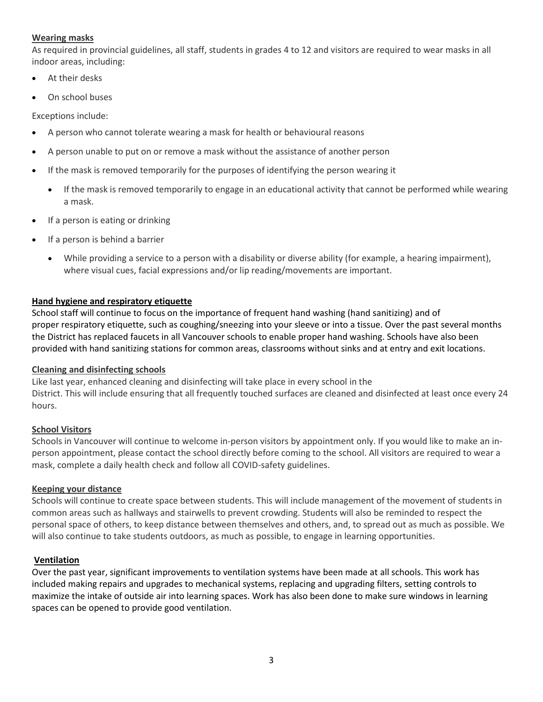## **Wearing masks**

As required in provincial guidelines, all staff, students in grades 4 to 12 and visitors are required to wear masks in all indoor areas, including:

- At their desks
- On school buses

Exceptions include:

- A person who cannot tolerate wearing a mask for health or behavioural reasons
- A person unable to put on or remove a mask without the assistance of another person
- If the mask is removed temporarily for the purposes of identifying the person wearing it
	- If the mask is removed temporarily to engage in an educational activity that cannot be performed while wearing a mask.
- If a person is eating or drinking
- If a person is behind a barrier
	- While providing a service to a person with a disability or diverse ability (for example, a hearing impairment), where visual cues, facial expressions and/or lip reading/movements are important.

#### **Hand hygiene and respiratory etiquette**

School staff will continue to focus on the importance of frequent hand washing (hand sanitizing) and of proper respiratory etiquette, such as coughing/sneezing into your sleeve or into a tissue. Over the past several months the District has replaced faucets in all Vancouver schools to enable proper hand washing. Schools have also been provided with hand sanitizing stations for common areas, classrooms without sinks and at entry and exit locations.

#### **Cleaning and disinfecting schools**

Like last year, enhanced cleaning and disinfecting will take place in every school in the District. This will include ensuring that all frequently touched surfaces are cleaned and disinfected at least once every 24 hours.

# **School Visitors**

Schools in Vancouver will continue to welcome in-person visitors by appointment only. If you would like to make an inperson appointment, please contact the school directly before coming to the school. All visitors are required to wear a mask, complete a daily health check and follow all COVID-safety guidelines.

#### **Keeping your distance**

Schools will continue to create space between students. This will include management of the movement of students in common areas such as hallways and stairwells to prevent crowding. Students will also be reminded to respect the personal space of others, to keep distance between themselves and others, and, to spread out as much as possible. We will also continue to take students outdoors, as much as possible, to engage in learning opportunities.

#### **Ventilation**

Over the past year, significant improvements to ventilation systems have been made at all schools. This work has included making repairs and upgrades to mechanical systems, replacing and upgrading filters, setting controls to maximize the intake of outside air into learning spaces. Work has also been done to make sure windows in learning spaces can be opened to provide good ventilation.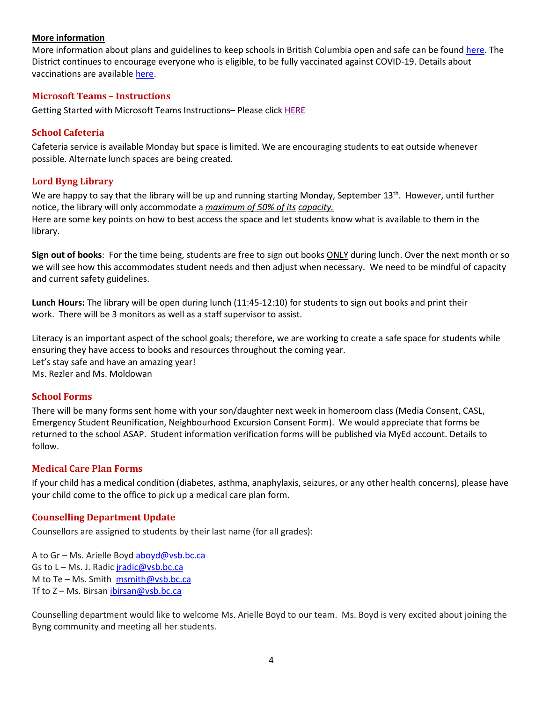#### **More information**

More information about plans and guidelines to keep schools in British Columbia open and safe can be found [here.](https://www2.gov.bc.ca/gov/content/education-training/k-12/covid-19-safe-schools) The District continues to encourage everyone who is eligible, to be fully vaccinated against COVID-19. Details about vaccinations are available [here.](http://www.vch.ca/covid-19/covid-19-vaccine)

#### <span id="page-3-0"></span>**Microsoft Teams – Instructions**

<span id="page-3-1"></span>Getting Started with Microsoft Teams Instructions– Please click [HERE](https://www.vsb.bc.ca/schools/lord-byng/About-Us/Publications/Documents/Microsoft%20Teams%20Sept%20Instructions.pdf)

#### **School Cafeteria**

Cafeteria service is available Monday but space is limited. We are encouraging students to eat outside whenever possible. Alternate lunch spaces are being created.

#### <span id="page-3-2"></span>**Lord Byng Library**

We are happy to say that the library will be up and running starting Monday, September  $13^{th}$ . However, until further notice, the library will only accommodate a *maximum of 50% of its capacity.* Here are some key points on how to best access the space and let students know what is available to them in the library.

**Sign out of books**: For the time being, students are free to sign out books ONLY during lunch. Over the next month or so we will see how this accommodates student needs and then adjust when necessary. We need to be mindful of capacity and current safety guidelines.

**Lunch Hours:** The library will be open during lunch (11:45-12:10) for students to sign out books and print their work. There will be 3 monitors as well as a staff supervisor to assist.

Literacy is an important aspect of the school goals; therefore, we are working to create a safe space for students while ensuring they have access to books and resources throughout the coming year. Let's stay safe and have an amazing year! Ms. Rezler and Ms. Moldowan

#### <span id="page-3-3"></span>**School Forms**

There will be many forms sent home with your son/daughter next week in homeroom class (Media Consent, CASL, Emergency Student Reunification, Neighbourhood Excursion Consent Form). We would appreciate that forms be returned to the school ASAP. Student information verification forms will be published via MyEd account. Details to follow.

#### <span id="page-3-4"></span>**Medical Care Plan Forms**

If your child has a medical condition (diabetes, asthma, anaphylaxis, seizures, or any other health concerns), please have your child come to the office to pick up a medical care plan form.

#### <span id="page-3-5"></span>**Counselling Department Update**

Counsellors are assigned to students by their last name (for all grades):

A to Gr - Ms. Arielle Boyd [aboyd@vsb.bc.ca](mailto:aboyd@vsb.bc.ca) Gs to L – Ms. J. Radic *[jradic@vsb.bc.ca](mailto:jradic@vsb.bc.ca)* M to Te – Ms. Smith [msmith@vsb.bc.ca](mailto:msmith@vsb.bc.ca) Tf to Z - Ms. Birsan [ibirsan@vsb.bc.ca](mailto:ibirsan@vsb.bc.ca)

Counselling department would like to welcome Ms. Arielle Boyd to our team. Ms. Boyd is very excited about joining the Byng community and meeting all her students.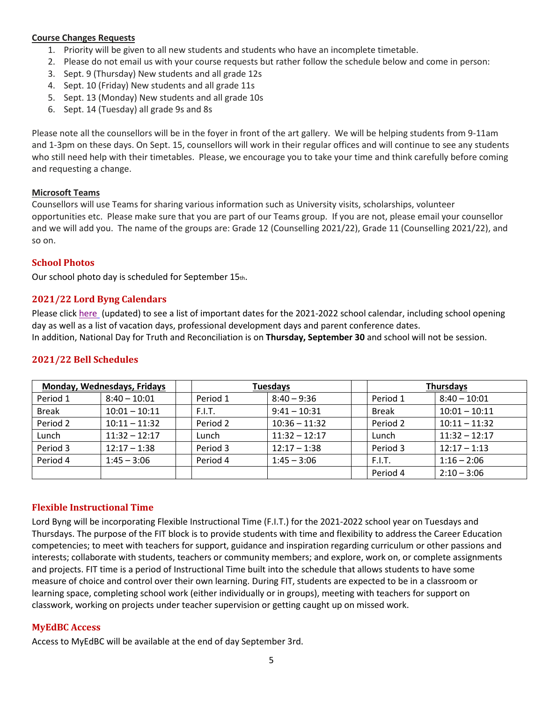#### **Course Changes Requests**

- 1. Priority will be given to all new students and students who have an incomplete timetable.
- 2. Please do not email us with your course requests but rather follow the schedule below and come in person:
- 3. Sept. 9 (Thursday) New students and all grade 12s
- 4. Sept. 10 (Friday) New students and all grade 11s
- 5. Sept. 13 (Monday) New students and all grade 10s
- 6. Sept. 14 (Tuesday) all grade 9s and 8s

Please note all the counsellors will be in the foyer in front of the art gallery. We will be helping students from 9-11am and 1-3pm on these days. On Sept. 15, counsellors will work in their regular offices and will continue to see any students who still need help with their timetables. Please, we encourage you to take your time and think carefully before coming and requesting a change.

#### **Microsoft Teams**

Counsellors will use Teams for sharing various information such as University visits, scholarships, volunteer opportunities etc. Please make sure that you are part of our Teams group. If you are not, please email your counsellor and we will add you. The name of the groups are: Grade 12 (Counselling 2021/22), Grade 11 (Counselling 2021/22), and so on.

#### <span id="page-4-0"></span>**School Photos**

<span id="page-4-1"></span>Our school photo day is scheduled for September 15th.

## **2021/22 Lord Byng Calendars**

Please click [here](https://www.vsb.bc.ca/repository/SBAttachments/0f988815-fa1c-4181-b3e8-0b4f018bfc64_SecondaryCalendar2021-22Byng-Updated.pdf) (updated) to see a list of important dates for the 2021-2022 school calendar, including school opening day as well as a list of vacation days, professional development days and parent conference dates. In addition, National Day for Truth and Reconciliation is on **Thursday, September 30** and school will not be session.

#### <span id="page-4-2"></span>**2021/22 Bell Schedules**

| Monday, Wednesdays, Fridays |                 | Tuesdays |                 | <b>Thursdays</b> |                 |  |
|-----------------------------|-----------------|----------|-----------------|------------------|-----------------|--|
| Period 1                    | $8:40 - 10:01$  | Period 1 | $8:40 - 9:36$   | Period 1         | $8:40 - 10:01$  |  |
| <b>Break</b>                | $10:01 - 10:11$ | F.I.T.   | $9:41 - 10:31$  | <b>Break</b>     | $10:01 - 10:11$ |  |
| Period 2                    | $10:11 - 11:32$ | Period 2 | $10:36 - 11:32$ | Period 2         | $10:11 - 11:32$ |  |
| Lunch                       | $11:32 - 12:17$ | Lunch    | $11:32 - 12:17$ | Lunch            | $11:32 - 12:17$ |  |
| Period 3                    | $12:17 - 1:38$  | Period 3 | $12:17 - 1:38$  | Period 3         | $12:17 - 1:13$  |  |
| Period 4                    | $1:45 - 3:06$   | Period 4 | $1:45 - 3:06$   | F.I.T.           | $1:16 - 2:06$   |  |
|                             |                 |          |                 | Period 4         | $2:10 - 3:06$   |  |

# <span id="page-4-3"></span>**Flexible Instructional Time**

Lord Byng will be incorporating Flexible Instructional Time (F.I.T.) for the 2021-2022 school year on Tuesdays and Thursdays. The purpose of the FIT block is to provide students with time and flexibility to address the Career Education competencies; to meet with teachers for support, guidance and inspiration regarding curriculum or other passions and interests; collaborate with students, teachers or community members; and explore, work on, or complete assignments and projects. FIT time is a period of Instructional Time built into the schedule that allows students to have some measure of choice and control over their own learning. During FIT, students are expected to be in a classroom or learning space, completing school work (either individually or in groups), meeting with teachers for support on classwork, working on projects under teacher supervision or getting caught up on missed work.

#### <span id="page-4-4"></span>**MyEdBC Access**

Access to MyEdBC will be available at the end of day September 3rd.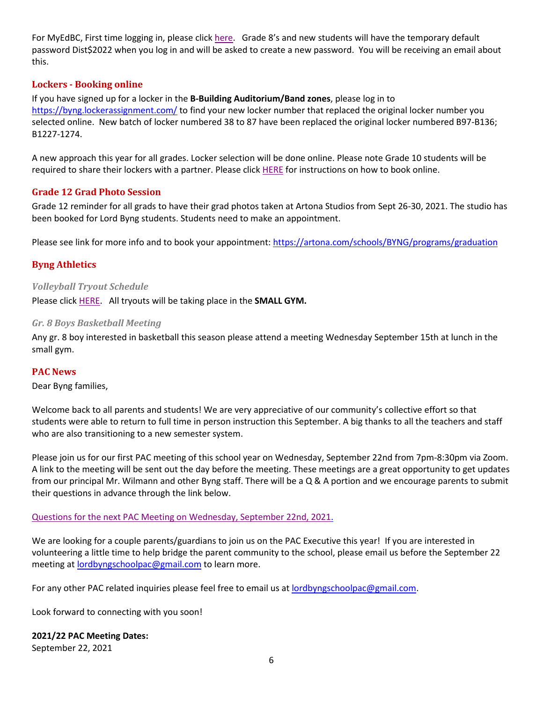For MyEdBC, First time logging in, please click [here.](https://www.vsb.bc.ca/schools/lord-byng/About-Us/Publications/Documents/First%20Time%20Logging%20In.pdf) Grade 8's and new students will have the temporary default password Dist\$2022 when you log in and will be asked to create a new password. You will be receiving an email about this.

## <span id="page-5-0"></span>**Lockers - Booking online**

If you have signed up for a locker in the **B-Building Auditorium/Band zones**, please log in to <https://byng.lockerassignment.com/> to find your new locker number that replaced the original locker number you selected online. New batch of locker numbered 38 to 87 have been replaced the original locker numbered B97-B136; B1227-1274.

A new approach this year for all grades. Locker selection will be done online. Please note Grade 10 students will be required to share their lockers with a partner. Please click [HERE](https://www.vsb.bc.ca/schools/lord-byng/About-Us/Publications/Documents/Student%20Instructions%20to%20select%20locker%20online.pdf) for instructions on how to book online.

## <span id="page-5-1"></span>**Grade 12 Grad Photo Session**

Grade 12 reminder for all grads to have their grad photos taken at Artona Studios from Sept 26-30, 2021. The studio has been booked for Lord Byng students. Students need to make an appointment.

<span id="page-5-2"></span>Please see link for more info and to book your appointment:<https://artona.com/schools/BYNG/programs/graduation>

## **Byng Athletics**

#### <span id="page-5-3"></span>*Volleyball Tryout Schedule*

<span id="page-5-4"></span>Please click [HERE.](https://www.vsb.bc.ca/schools/lord-byng/About-Us/Publications/Documents/Volleyball%20Tryout%20Schedule%202021.pdf) All tryouts will be taking place in the **SMALL GYM.**

#### *Gr. 8 Boys Basketball Meeting*

Any gr. 8 boy interested in basketball this season please attend a meeting Wednesday September 15th at lunch in the small gym.

#### <span id="page-5-5"></span>**PAC News**

Dear Byng families,

Welcome back to all parents and students! We are very appreciative of our community's collective effort so that students were able to return to full time in person instruction this September. A big thanks to all the teachers and staff who are also transitioning to a new semester system.

Please join us for our first PAC meeting of this school year on Wednesday, September 22nd from 7pm-8:30pm via Zoom. A link to the meeting will be sent out the day before the meeting. These meetings are a great opportunity to get updates from our principal Mr. Wilmann and other Byng staff. There will be a Q & A portion and we encourage parents to submit their questions in advance through the link below.

#### Questions for the next PAC Meeting [on Wednesday, September 22nd, 2021.](https://docs.google.com/forms/d/e/1FAIpQLScyBVYPklqIDbzixE0Q0Q5YHsR72y_3Jp6A0mfKZ4t7Nq1hEA/viewform?usp=sf_link)

We are looking for a couple parents/guardians to join us on the PAC Executive this year! If you are interested in volunteering a little time to help bridge the parent community to the school, please email us before the September 22 meeting at [lordbyngschoolpac@gmail.com](mailto:lordbyngschoolpac@gmail.com) to learn more.

For any other PAC related inquiries please feel free to email us at [lordbyngschoolpac@gmail.com.](mailto:lordbyngschoolpac@gmail.com)

Look forward to connecting with you soon!

#### **2021/22 PAC Meeting Dates:**

September 22, 2021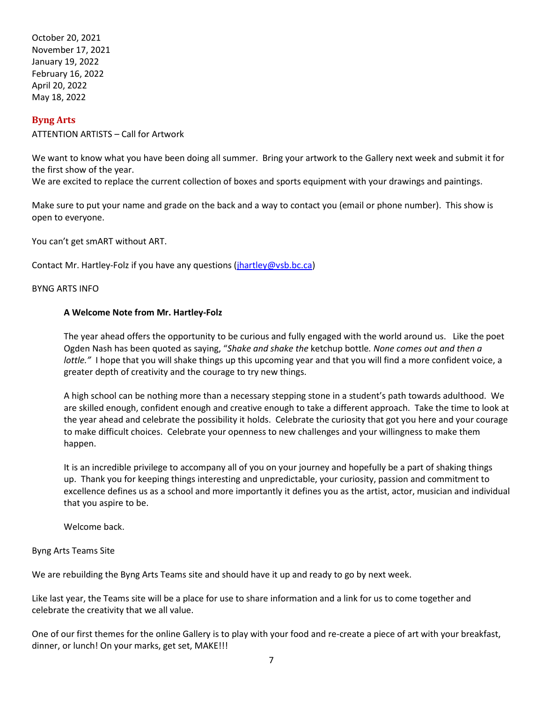October 20, 2021 November 17, 2021 January 19, 2022 February 16, 2022 April 20, 2022 May 18, 2022

# <span id="page-6-0"></span>**Byng Arts**

ATTENTION ARTISTS – Call for Artwork

We want to know what you have been doing all summer. Bring your artwork to the Gallery next week and submit it for the first show of the year.

We are excited to replace the current collection of boxes and sports equipment with your drawings and paintings.

Make sure to put your name and grade on the back and a way to contact you (email or phone number). This show is open to everyone.

You can't get smART without ART.

Contact Mr. Hartley-Folz if you have any questions [\(jhartley@vsb.bc.ca\)](mailto:jhartley@vsb.bc.ca)

BYNG ARTS INFO

#### **A Welcome Note from Mr. Hartley-Folz**

The year ahead offers the opportunity to be curious and fully engaged with the world around us. Like the poet Ogden Nash has been quoted as saying, "*Shake and shake the* ketchup bottle*. None comes out and then a lottle."* I hope that you will shake things up this upcoming year and that you will find a more confident voice, a greater depth of creativity and the courage to try new things.

A high school can be nothing more than a necessary stepping stone in a student's path towards adulthood. We are skilled enough, confident enough and creative enough to take a different approach. Take the time to look at the year ahead and celebrate the possibility it holds. Celebrate the curiosity that got you here and your courage to make difficult choices. Celebrate your openness to new challenges and your willingness to make them happen.

It is an incredible privilege to accompany all of you on your journey and hopefully be a part of shaking things up. Thank you for keeping things interesting and unpredictable, your curiosity, passion and commitment to excellence defines us as a school and more importantly it defines you as the artist, actor, musician and individual that you aspire to be.

Welcome back.

#### Byng Arts Teams Site

We are rebuilding the Byng Arts Teams site and should have it up and ready to go by next week.

Like last year, the Teams site will be a place for use to share information and a link for us to come together and celebrate the creativity that we all value.

One of our first themes for the online Gallery is to play with your food and re-create a piece of art with your breakfast, dinner, or lunch! On your marks, get set, MAKE!!!